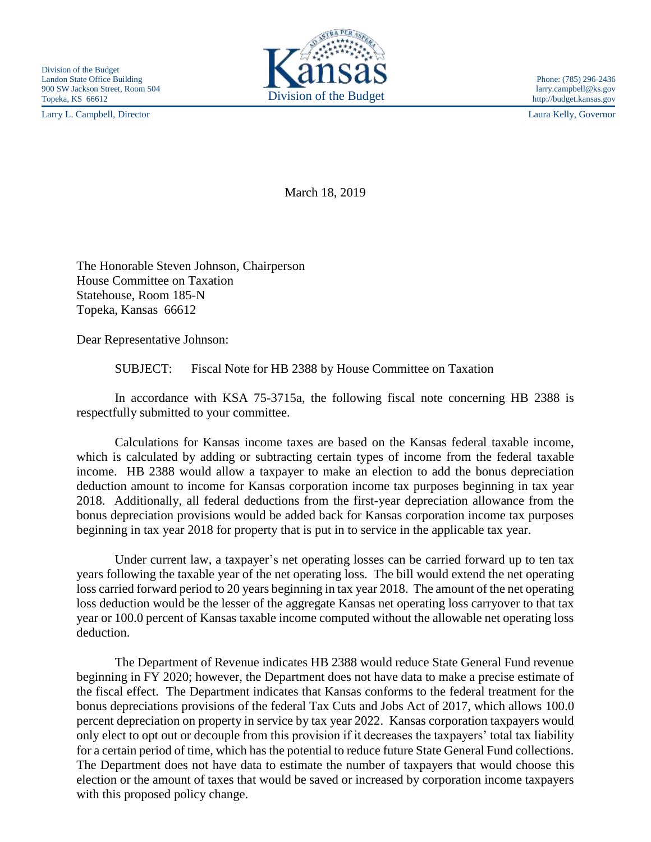Larry L. Campbell, Director Laura Kelly, Governor



March 18, 2019

The Honorable Steven Johnson, Chairperson House Committee on Taxation Statehouse, Room 185-N Topeka, Kansas 66612

Dear Representative Johnson:

SUBJECT: Fiscal Note for HB 2388 by House Committee on Taxation

In accordance with KSA 75-3715a, the following fiscal note concerning HB 2388 is respectfully submitted to your committee.

Calculations for Kansas income taxes are based on the Kansas federal taxable income, which is calculated by adding or subtracting certain types of income from the federal taxable income. HB 2388 would allow a taxpayer to make an election to add the bonus depreciation deduction amount to income for Kansas corporation income tax purposes beginning in tax year 2018. Additionally, all federal deductions from the first-year depreciation allowance from the bonus depreciation provisions would be added back for Kansas corporation income tax purposes beginning in tax year 2018 for property that is put in to service in the applicable tax year.

Under current law, a taxpayer's net operating losses can be carried forward up to ten tax years following the taxable year of the net operating loss. The bill would extend the net operating loss carried forward period to 20 years beginning in tax year 2018. The amount of the net operating loss deduction would be the lesser of the aggregate Kansas net operating loss carryover to that tax year or 100.0 percent of Kansas taxable income computed without the allowable net operating loss deduction.

The Department of Revenue indicates HB 2388 would reduce State General Fund revenue beginning in FY 2020; however, the Department does not have data to make a precise estimate of the fiscal effect. The Department indicates that Kansas conforms to the federal treatment for the bonus depreciations provisions of the federal Tax Cuts and Jobs Act of 2017, which allows 100.0 percent depreciation on property in service by tax year 2022. Kansas corporation taxpayers would only elect to opt out or decouple from this provision if it decreases the taxpayers' total tax liability for a certain period of time, which has the potential to reduce future State General Fund collections. The Department does not have data to estimate the number of taxpayers that would choose this election or the amount of taxes that would be saved or increased by corporation income taxpayers with this proposed policy change.